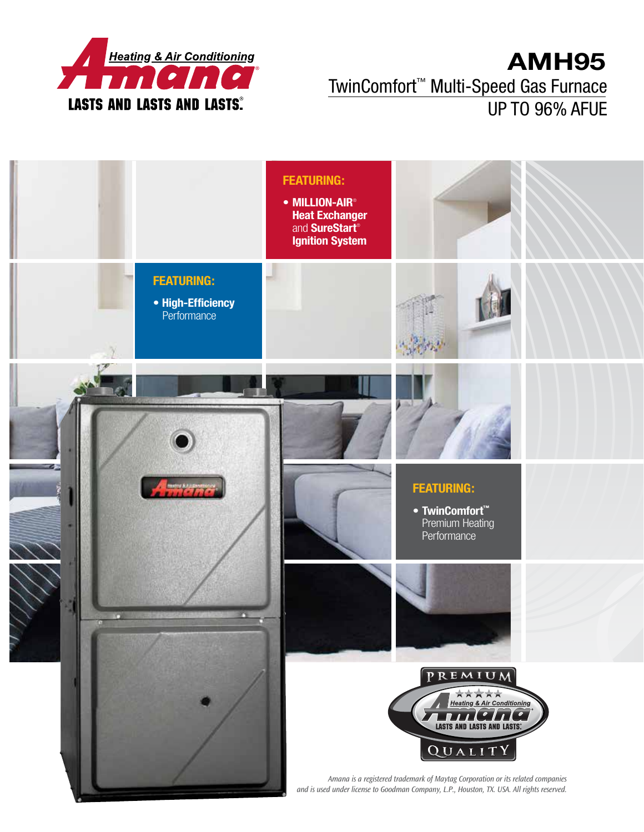

## **AMH95** TwinComfort™ Multi-Speed Gas Furnace UP TO 96% AFUE

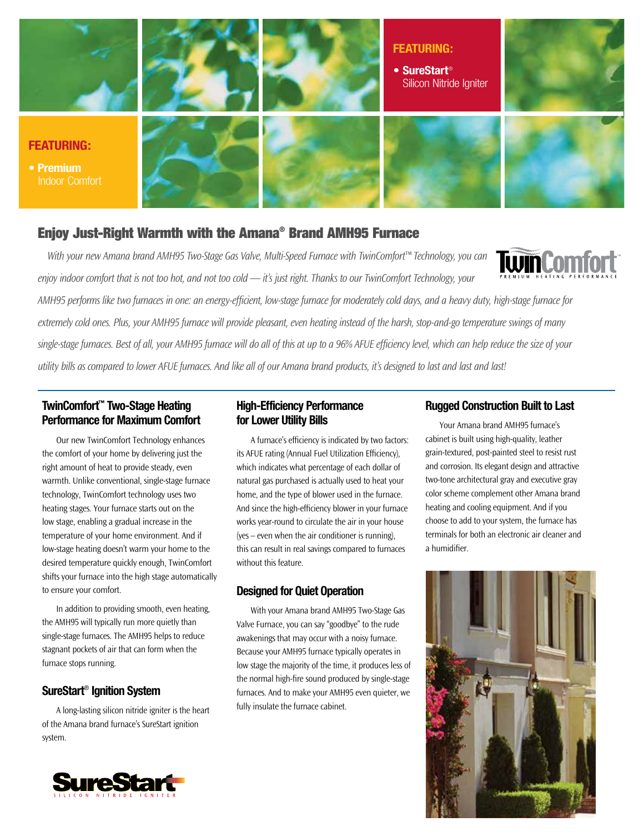

#### Enjoy Just-Right Warmth with the Amana® Brand AMH95 Furnace

*With your new Amana brand AMH95 Two-Stage Gas Valve, Multi-Speed Furnace with TwinComfort™ Technology, you can enjoy indoor comfort that is not too hot, and not too cold — it's just right. Thanks to our TwinComfort Technology, your* 



*AMH95 performs like two furnaces in one: an energy-efficient, low-stage furnace for moderately cold days, and a heavy duty, high-stage furnace for extremely cold ones. Plus, your AMH95 furnace will provide pleasant, even heating instead of the harsh, stop-and-go temperature swings of many*  single-stage furnaces. Best of all, your AMH95 furnace will do all of this at up to a 96% AFUE efficiency level, which can help reduce the size of your *utility bills as compared to lower AFUE furnaces. And like all of our Amana brand products, it's designed to last and last and last!*

#### **TwinComfort™ Two-Stage Heating Performance for Maximum Comfort**

Our new TwinComfort Technology enhances the comfort of your home by delivering just the right amount of heat to provide steady, even warmth. Unlike conventional, single-stage furnace technology, TwinComfort technology uses two heating stages. Your furnace starts out on the low stage, enabling a gradual increase in the temperature of your home environment. And if low-stage heating doesn't warm your home to the desired temperature quickly enough, TwinComfort shifts your furnace into the high stage automatically to ensure your comfort.

In addition to providing smooth, even heating, the AMH95 will typically run more quietly than single-stage furnaces. The AMH95 helps to reduce stagnant pockets of air that can form when the furnace stops running.

#### **SureStart**® **Ignition System**

A long-lasting silicon nitride igniter is the heart of the Amana brand furnace's SureStart ignition system.

#### **High-Efficiency Performance for Lower Utility Bills**

A furnace's efficiency is indicated by two factors: its AFUE rating (Annual Fuel Utilization Efficiency), which indicates what percentage of each dollar of natural gas purchased is actually used to heat your home, and the type of blower used in the furnace. And since the high-efficiency blower in your furnace works year-round to circulate the air in your house (yes – even when the air conditioner is running), this can result in real savings compared to furnaces without this feature.

#### **Designed for Quiet Operation**

With your Amana brand AMH95 Two-Stage Gas Valve Furnace, you can say "goodbye" to the rude awakenings that may occur with a noisy furnace. Because your AMH95 furnace typically operates in low stage the majority of the time, it produces less of the normal high-fire sound produced by single-stage furnaces. And to make your AMH95 even quieter, we fully insulate the furnace cabinet.

#### **Rugged Construction Built to Last**

Your Amana brand AMH95 furnace's cabinet is built using high-quality, leather grain-textured, post-painted steel to resist rust and corrosion. Its elegant design and attractive two-tone architectural gray and executive gray color scheme complement other Amana brand heating and cooling equipment. And if you choose to add to your system, the furnace has terminals for both an electronic air cleaner and a humidifier.



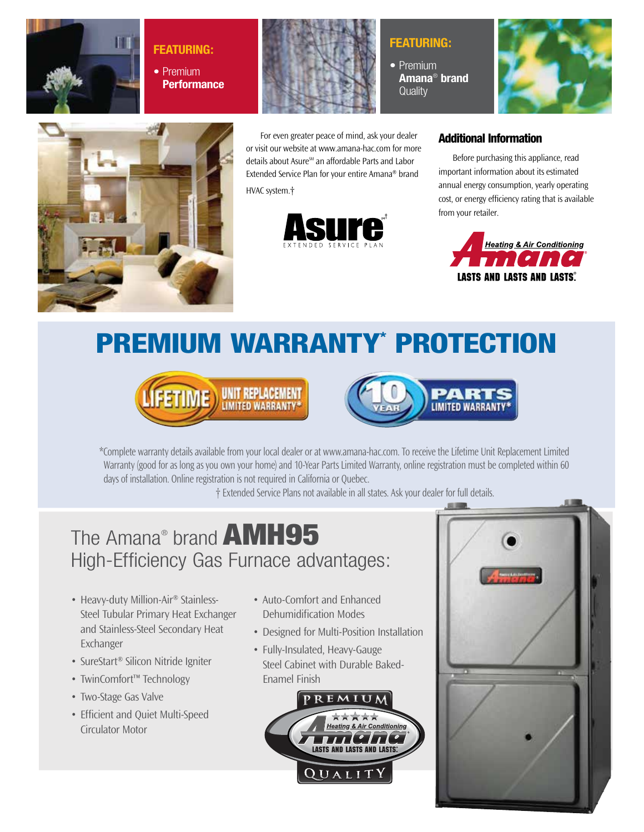

**Featuring: •** Premium **Performance**



For even greater peace of mind, ask your dealer or visit our website at www.amana-hac.com for more details about Asure<sup>5M</sup> an affordable Parts and Labor Extended Service Plan for your entire Amana® brand HVAC system.†



### **Featuring:**

**•** Premium **Amana**®  **brand Quality** 







**LASTS AND LASTS AND LASTS®** 

Before purchasing this appliance, read important information about its estimated annual energy consumption, yearly operating

Additional Information

PREMIUM WARRANTY\* PROTECTION





\*Complete warranty details available from your local dealer or at www.amana-hac.com. To receive the Lifetime Unit Replacement Limited Warranty (good for as long as you own your home) and 10-Year Parts Limited Warranty, online registration must be completed within 60 days of installation. Online registration is not required in California or Quebec.

† Extended Service Plans not available in all states. Ask your dealer for full details.

# The Amana® brand **AMH95** High-Efficiency Gas Furnace advantages:

- Heavy-duty Million-Air<sup>®</sup> Stainless-Steel Tubular Primary Heat Exchanger and Stainless-Steel Secondary Heat Exchanger
- SureStart<sup>®</sup> Silicon Nitride Igniter
- TwinComfort™ Technology
- Two-Stage Gas Valve
- Efficient and Quiet Multi-Speed Circulator Motor
- Auto-Comfort and Enhanced Dehumidification Modes
- Designed for Multi-Position Installation
- Fully-Insulated, Heavy-Gauge Steel Cabinet with Durable Baked-Enamel Finish